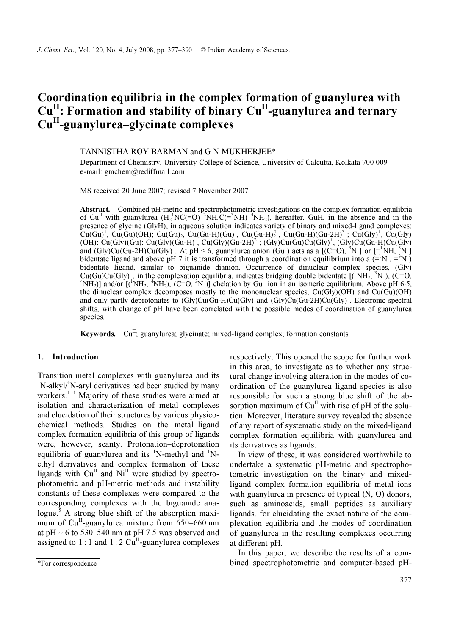# Coordination equilibria in the complex formation of guanylurea with  $Cu<sup>H</sup>$ : Formation and stability of binary  $Cu<sup>H</sup>$ -guanylurea and ternary Cu<sup>II</sup>-guanylurea–glycinate complexes

### TANNISTHA ROY BARMAN and G N MUKHERJEE\*

Department of Chemistry, University College of Science, University of Calcutta, Kolkata 700 009 e-mail: gmchem@rediffmail.com

MS received 20 June 2007; revised 7 November 2007

Abstract. Combined pH-metric and spectrophotometric investigations on the complex formation equilibria of  $Cu<sup>H</sup>$  with guanylurea  $(H<sub>2</sub><sup>1</sup>NC(=0)<sup>2</sup>NH.C(=<sup>3</sup>NH)<sup>4</sup>NH<sub>2</sub>)$ , hereafter, GuH, in the absence and in the presence of glycine (GlyH), in aqueous solution indicates variety of binary and mixed-ligand complexes:  $Cu(Gu)$ <sup>+</sup>, Cu(Gu)(OH); Cu(Gu)<sub>2</sub>, Cu(Gu-H)(Gu)<sup>-</sup>, Cu(Gu-H)<sup>2</sup><sup>-</sup>, Cu(Gu-H)(Gu-2H)<sup>3-</sup>; Cu(Gly)<sup>+</sup>, Cu(Gly) (OH); Cu(Gly)(Gu); Cu(Gly)(Gu-H)<sup>–</sup>, Cu(Gly)(Gu-2H)<sup>2–</sup>; (Gly)Cu(Gu)Cu(Gly)<sup>+</sup>, (Gly)Cu(Gu-H)Cu(Gly) and  $(Gly)Cu(Gu-2H)Cu(Gly)$ . At pH < 6, guanylurea anion  $(Gu^-)$  acts as a  $[(C=O), {^{3}N}]$  or  $[={^{1}NH, {^{3}N}}]$ bidentate ligand and above pH 7 it is transformed through a coordination equilibrium into a  $(=^1N^-$ ,  $=^3N^-$ ) bidentate ligand, similar to biguanide dianion. Occurrence of dinuclear complex species, (Gly)  $Cu(Gu)Cu(Gly)^{+}$ , in the complexation equilibria, indicates bridging double bidentate  $[(^1NH_2, ^3N^-), (C=0, ^4MH_2, ^4NH_3), (C=0, ^4MH_3, ^4NH_3)]$  $N$ H<sub>2</sub>)] and/or  $[(NH<sub>2</sub>, {}^{4}NH<sub>2</sub>), (C=O, {}^{3}N)]$  chelation by Gu<sup>-</sup> ion in an isomeric equilibrium. Above pH 6⋅5, the dinuclear complex decomposes mostly to the mononuclear species,  $Cu(GV)(OH)$  and  $Cu(Gu)(OH)$ and only partly deprotonates to (Gly)Cu(Gu-H)Cu(Gly) and (Gly)Cu(Gu-2H)Cu(Gly)<sup>–</sup>. Electronic spectral shifts, with change of pH have been correlated with the possible modes of coordination of guanylurea species.

Keywords.  $Cu^{II}$ ; guanylurea; glycinate; mixed-ligand complex; formation constants.

### 1. Introduction

Transition metal complexes with guanylurea and its <sup>1</sup>N-alkyl/<sup>1</sup>N-aryl derivatives had been studied by many workers. $1-4$  Majority of these studies were aimed at isolation and characterization of metal complexes and elucidation of their structures by various physicochemical methods. Studies on the metal–ligand complex formation equilibria of this group of ligands were, however, scanty. Protonation–deprotonation equilibria of guanylurea and its  ${}^{1}N$ -methyl and  ${}^{1}N$ ethyl derivatives and complex formation of these ligands with  $Cu<sup>H</sup>$  and  $Ni<sup>H</sup>$  were studied by spectrophotometric and pH-metric methods and instability constants of these complexes were compared to the corresponding complexes with the biguanide analogue.<sup>5</sup> A strong blue shift of the absorption maximum of  $Cu<sup>H</sup>$ -guanylurea mixture from 650–660 nm at pH  $\sim$  6 to 530–540 nm at pH 7⋅5 was observed and assigned to 1 : 1 and 1 : 2  $\mathbf{Cu}^{\mathbf{II}}$ -guanylurea complexes

respectively. This opened the scope for further work in this area, to investigate as to whether any structural change involving alteration in the modes of coordination of the guanylurea ligand species is also responsible for such a strong blue shift of the absorption maximum of  $Cu<sup>H</sup>$  with rise of pH of the solution. Moreover, literature survey revealed the absence of any report of systematic study on the mixed-ligand complex formation equilibria with guanylurea and its derivatives as ligands.

 In view of these, it was considered worthwhile to undertake a systematic pH-metric and spectrophotometric investigation on the binary and mixedligand complex formation equilibria of metal ions with guanylurea in presence of typical (N, O) donors, such as aminoacids, small peptides as auxiliary ligands, for elucidating the exact nature of the complexation equilibria and the modes of coordination of guanylurea in the resulting complexes occurring at different pH.

 In this paper, we describe the results of a combined spectrophotometric and computer-based pH-

<sup>\*</sup>For correspondence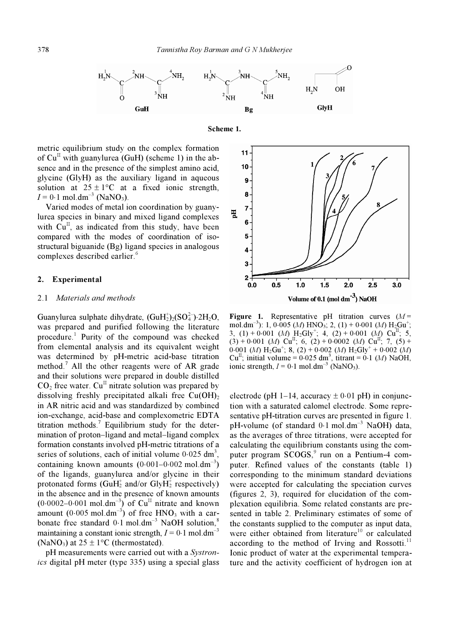

Scheme 1.

metric equilibrium study on the complex formation of  $Cu<sup>H</sup>$  with guanylurea (GuH) (scheme 1) in the absence and in the presence of the simplest amino acid, glycine (GlyH) as the auxiliary ligand in aqueous solution at  $25 \pm 1$ °C at a fixed ionic strength,  $I = 0.1$  mol.dm<sup>-3</sup> (NaNO<sub>3</sub>).

 Varied modes of metal ion coordination by guanylurea species in binary and mixed ligand complexes with  $Cu<sup>H</sup>$ , as indicated from this study, have been compared with the modes of coordination of isostructural biguanide (Bg) ligand species in analogous complexes described earlier.<sup>6</sup>

#### 2. Experimental

#### 2.1 Materials and methods

Guanylurea sulphate dihydrate,  $(GuH<sub>2</sub><sup>+</sup>)<sub>2</sub>(SO<sub>4</sub><sup>-</sup>)-2H<sub>2</sub>O$ , was prepared and purified following the literature procedure.<sup>1</sup> Purity of the compound was checked from elemental analysis and its equivalent weight was determined by pH-metric acid-base titration method.<sup>7</sup> All the other reagents were of AR grade and their solutions were prepared in double distilled  $CO<sub>2</sub>$  free water.  $Cu<sup>H</sup>$  nitrate solution was prepared by dissolving freshly precipitated alkali free  $Cu(OH)_{2}$ in AR nitric acid and was standardized by combined ion-exchange, acid-base and complexometric EDTA titration methods.<sup>7</sup> Equilibrium study for the determination of proton–ligand and metal–ligand complex formation constants involved pH-metric titrations of a series of solutions, each of initial volume  $0.025 \text{ dm}^3$ , containing known amounts  $(0.001-0.002 \text{ mol.dim}^{-3})$ of the ligands, guanylurea and/or glycine in their protonated forms (GuH<sub>2</sub><sup>+</sup> and/or GlyH<sub>2</sub><sup>+</sup> respectively) in the absence and in the presence of known amounts  $(0.0002-0.001 \text{ mol.dim}^{-3})$  of Cu<sup>II</sup> nitrate and known amount  $(0.005 \text{ mol.dim}^{-3})$  of free HNO<sub>3</sub> with a carbonate free standard  $0.1 \text{ mol.dim}^{-3}$  NaOH solution,<sup>8</sup> maintaining a constant ionic strength,  $I = 0.1$  mol.dm<sup>-3</sup> (NaNO<sub>3</sub>) at  $25 \pm 1$ °C (thermostated).

pH measurements were carried out with a Systronics digital pH meter (type 335) using a special glass



Figure 1. Representative pH titration curves  $(M =$ mol.dm<sup>-3</sup>): 1, 0⋅005 (*M*) HNO<sub>3</sub>; 2, (1) + 0⋅001 (*M*) H<sub>2</sub>Gu<sup>+</sup>; 3, (1) + 0⋅001 (*M*) H<sub>2</sub>Gly<sup>+</sup>; 4, (2) + 0⋅001 (*M*) Cu<sup>II</sup>; 5,  $(3) + 0.001$  (*M*)  $Cu^{\text{II}}$ ; 6, (2) + 0.0002 (*M*)  $Cu^{\text{II}}$ ; 7, (5) +  $(0.001 \ (M) \ H_2\text{Gu}^+; 8, (2) + 0.002 \ (M) \ H_2\text{Gly}^+ + 0.002 \ (M)$ Cu<sup>II</sup>; initial volume =  $0.025$  dm<sup>3</sup>, titrant =  $0.1$  (*M*) NaOH, ionic strength,  $I = 0.1$  mol.dm<sup>-3</sup> (NaNO<sub>3</sub>).

electrode (pH 1–14, accuracy  $\pm$  0⋅01 pH) in conjunction with a saturated calomel electrode. Some representative pH-titration curves are presented in figure 1. pH-volume (of standard  $0.1 \text{ mol.dim}^{-3}$  NaOH) data, as the averages of three titrations, were accepted for calculating the equilibrium constants using the computer program SCOGS,<sup>9</sup> run on a Pentium-4 computer. Refined values of the constants (table 1) corresponding to the minimum standard deviations were accepted for calculating the speciation curves (figures 2, 3), required for elucidation of the complexation equilibria. Some related constants are presented in table 2. Preliminary estimates of some of the constants supplied to the computer as input data, were either obtained from literature<sup>10</sup> or calculated according to the method of Irving and Rossotti.<sup>11</sup> Ionic product of water at the experimental temperature and the activity coefficient of hydrogen ion at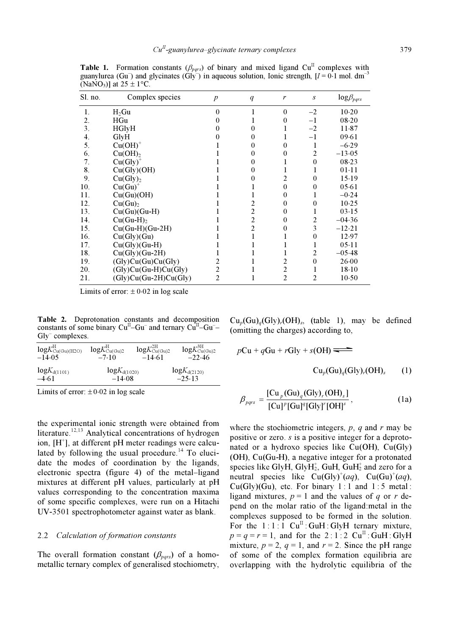| Sl. no. | Complex species         | $\boldsymbol{p}$ | q              | r              | $\boldsymbol{S}$ | $log \beta_{pqrs}$ |
|---------|-------------------------|------------------|----------------|----------------|------------------|--------------------|
| 1.      | $H_2Gu$                 | $\theta$         | 1              | $\theta$       | $-2$             | $10-20$            |
| 2.      | HGu                     | 0                |                | 0              | $-1$             | $08 - 20$          |
| 3.      | <b>HGlyH</b>            | 0                | 0              |                | $-2$             | 11.87              |
| 4.      | GlyH                    | 0                | 0              |                | $-1$             | 09.61              |
| 5.      | $Cu(OH)+$               |                  | $\theta$       | $\Omega$       |                  | $-6.29$            |
| 6.      | Cu(OH) <sub>2</sub>     |                  | 0              | 0              | $\overline{c}$   | $-13.05$           |
| 7.      | $Cu(Gly)+$              |                  | $\Omega$       |                | $\theta$         | 08.23              |
| 8.      | Cu(Gly)(OH)             |                  | $\Omega$       |                |                  | $01-11$            |
| 9.      | Cu(Gly) <sub>2</sub>    |                  | $\Omega$       | 2              | $\Omega$         | 15.19              |
| 10.     | $Cu(Gu)^+$              |                  | L              | 0              | 0                | 05.61              |
| 11.     | Cu(Gu)(OH)              |                  |                | 0              |                  | $-0.24$            |
| 12.     | Cu(Gu) <sub>2</sub>     |                  | 2              | 0              | 0                | 10.25              |
| 13.     | $Cu(Gu)(Gu-H)$          |                  | 2              | $_{0}$         |                  | 03.15              |
| 14.     | $Cu(Gu-H)2$             |                  | $\overline{c}$ | 0              | 2                | $-04.36$           |
| 15.     | $Cu(Gu-H)(Gu-2H)$       |                  | $\overline{c}$ | 0              | 3                | $-12.21$           |
| 16.     | Cu(Gly)(Gu)             |                  | 1              |                | 0                | 12.97              |
| 17.     | $Cu(Gly)(Gu-H)$         |                  | 1              | 1              |                  | 05.11              |
| 18.     | $Cu(Gly)(Gu-2H)$        |                  |                | 1              | 2                | $-05.48$           |
| 19.     | (Gly)Cu(Gu)Cu(Gly)      | 2                |                | 2              | $\theta$         | 26.00              |
| 20.     | $(Gly)Cu(Gu-H)Cu(Gly)$  | 2                |                | $\overline{c}$ |                  | $18-10$            |
| 21.     | $(Gly)Cu(Gu-2H)Cu(Gly)$ | 2                |                | $\overline{c}$ | 2                | 10.50              |

Table 1. Formation constants ( $\beta_{pqrs}$ ) of binary and mixed ligand Cu<sup>II</sup> complexes with guanylurea (Gu–) and glycinates (Gly–) in aqueous solution, Ionic strength,  $[I = 0.1 \text{ mol. dm}^{-3}]$ (NaNO<sub>3</sub>)] at  $25 \pm 1$  °C.

Limits of error:  $\pm 0.02$  in log scale

Table 2. Deprotonation constants and decomposition constants of some binary  $Cu^{II}-Gu^{-}$  and ternary  $Cu^{II}-Gu^{-}$ Gly<sup>–</sup> complexes.

| $logK_{Cu(Gu)(H2O)}^{H}$ | $logK_{Cu(Gu)2}^H$ | $logK_{Cu(Gu)2}^{2H}$ | $logK^{\rm 3H}_{\rm Cu(Gu)2}$ |
|--------------------------|--------------------|-----------------------|-------------------------------|
| $-14.05$                 | $-7.10$            | $-14.61$              | $-22.46$                      |
| $log K_{d(1101)}$        | $log K_{d(1020)}$  |                       | $logK_{d(2120)}$              |
| -4.61                    | $-14.08$           |                       | $-2.5.13$                     |

Limits of error:  $\pm 0.02$  in log scale

the experimental ionic strength were obtained from literature.<sup>12,13</sup> Analytical concentrations of hydrogen ion, [H<sup>+</sup>], at different pH meter readings were calculated by following the usual procedure.<sup>14</sup> To elucidate the modes of coordination by the ligands, electronic spectra (figure 4) of the metal–ligand mixtures at different pH values, particularly at pH values corresponding to the concentration maxima of some specific complexes, were run on a Hitachi UV-3501 spectrophotometer against water as blank.

#### 2.2 Calculation of formation constants

The overall formation constant  $(\beta_{pqrs})$  of a homometallic ternary complex of generalised stochiometry,

 $Cu_p(Gu)_q(Gly)_r(OH)_s$ , (table 1), may be defined (omitting the charges) according to,

$$
pCu + qGu + rGly + s(OH) \longrightarrow
$$
  
\n
$$
Cu_p(Gu)_q(Gly)_r(OH)_s \qquad (1)
$$

$$
\beta_{pqrs} = \frac{[\text{Cu}_p(\text{Gu})_q(\text{Gly})_r(\text{OH})_s]}{[\text{Cu}]^p[\text{Gu}]^q[\text{Gly}]^r[\text{OH}]^s},\tag{1a}
$$

where the stochiometric integers,  $p$ ,  $q$  and  $r$  may be positive or zero. s is a positive integer for a deprotonated or a hydroxo species like  $Cu(OH)$ ,  $Cu(Gly)$ (OH), Cu(Gu-H), a negative integer for a protonated species like GlyH, GlyH<sub>2</sub>, GuH, GuH<sub>2</sub> and zero for a neutral species like  $Cu(Gly)^+(aq)$ ,  $Cu(Gu)^+(aq)$ ,  $Cu(Gly)(Gu)$ , etc. For binary 1:1 and 1:5 metal: ligand mixtures,  $p = 1$  and the values of q or r depend on the molar ratio of the ligand:metal in the complexes supposed to be formed in the solution. For the  $1:1:1$  Cu<sup>II</sup>: GuH: GlyH ternary mixture,  $p = q = r = 1$ , and for the 2:1:2 Cu<sup>II</sup>: GuH: GlyH mixture,  $p = 2$ ,  $q = 1$ , and  $r = 2$ . Since the pH range of some of the complex formation equilibria are overlapping with the hydrolytic equilibria of the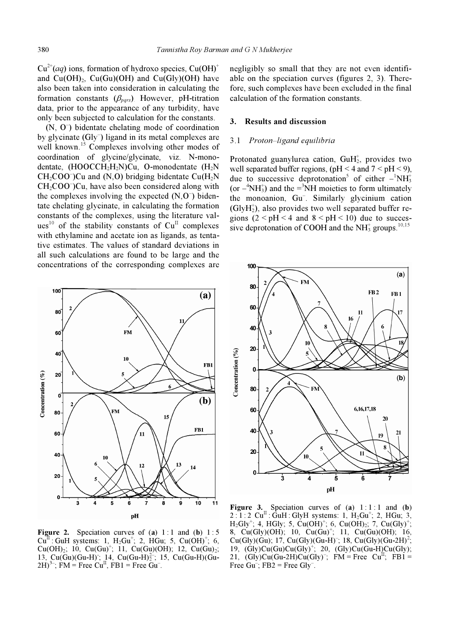$Cu^{2+}(aq)$  ions, formation of hydroxo species,  $Cu(OH)^+$ and  $Cu(OH)<sub>2</sub>$ ,  $Cu(Gu)(OH)$  and  $Cu(Gly)(OH)$  have also been taken into consideration in calculating the formation constants  $(\beta_{pqrs})$ . However, pH-titration data, prior to the appearance of any turbidity, have only been subjected to calculation for the constants.

 $(N, 0)$  bidentate chelating mode of coordination by glycinate (Gly<sup>-</sup>) ligand in its metal complexes are well known.<sup>15</sup> Complexes involving other modes of coordination of glycine/glycinate, viz. N-monodentate,  $(HOOCCH<sub>2</sub>H<sub>2</sub>N)Cu$ , O-monodentate  $(H<sub>2</sub>N)$  $CH<sub>2</sub>COO<sup>-</sup>)Cu$  and (N,O) bridging bidentate Cu(H<sub>2</sub>N  $CH<sub>2</sub>COO<sup>-</sup>)Cu$ , have also been considered along with the complexes involving the expected  $(N, O^{-})$  bidentate chelating glycinate, in calculating the formation constants of the complexes, using the literature values<sup>10</sup> of the stability constants of  $Cu<sup>H</sup>$  complexes with ethylamine and acetate ion as ligands, as tentative estimates. The values of standard deviations in all such calculations are found to be large and the concentrations of the corresponding complexes are



Figure 2. Speciation curves of (a)  $1:1$  and (b)  $1:5$ Cu<sup>II</sup> : GuH systems: 1, H<sub>2</sub>Gu<sup>+</sup>; 2, HGu; 5, Cu(OH)<sup>+</sup>; 6, Cu(OH)<sub>2</sub>; 10, Cu(Gu)<sup>+</sup>; 11, Cu(Gu)(OH); 12, Cu(Gu)<sub>2</sub>; 13, Cu(Gu)(Gu-H); 14, Cu(Gu-H) $\frac{2}{2}$ ; 15, Cu(Gu-H)(Gu- $2H)^{3-}$ ; FM = Free Cu<sup>II</sup>, FB1 = Free Gu<sup>-</sup>.

negligibly so small that they are not even identifiable on the speciation curves (figures 2, 3). Therefore, such complexes have been excluded in the final calculation of the formation constants.

#### 3. Results and discussion

#### 3.1 Proton–ligand equilibria

Protonated guanylurea cation,  $\text{GuH}_2^+$ , provides two well separated buffer regions,  $(pH < 4$  and  $7 < pH < 9$ ), due to successive deprotonation<sup>5</sup> of either  $-{}^{1}NH_{3}^{+}$ (or  $-<sup>4</sup>NH<sub>3</sub>$ ) and the  $= <sup>3</sup>NH$  moieties to form ultimately the monoanion, Gu– . Similarly glycinium cation (GlyH<sup>+</sup> 2), also provides two well separated buffer regions  $(2 < pH < 4$  and  $8 < pH < 10$ ) due to successive deprotonation of COOH and the  $NH<sub>3</sub><sup>+</sup>$  groups.<sup>10,15</sup>



Figure 3. Speciation curves of  $(a) 1:1:1$  and  $(b)$ 2 : 1 : 2  $Cu^{II}$  : GuH : GlyH systems: 1,  $H_2Gu^{+}$ ; 2, HGu; 3,  $H_2Gly^+$ ; 4, HGly; 5, Cu(OH)<sup>+</sup>; 6, Cu(OH)<sub>2</sub>; 7, Cu(Gly)<sup>+</sup>; 8, Cu(Gly)(OH); 10, Cu(Gu)<sup>+</sup>; 11, Cu(Gu)(OH); 16,  $Cu(Gly)(Gu); 17, Cu(Gly)(Gu-H)^{-}; 18, Cu(Gly)(Gu-2H)^{2};$ 19,  $(Gly)Cu(Gu)Cu(Gly)^{+}$ ; 20,  $(Gly)Cu(Gu-H)Cu(Gly);$ 21,  $(Gly)Cu(Gu-2H)Cu(Gly)^{-}$ ; FM = Free  $Cu<sup>H</sup>$ ; FB1 = Free  $Gu^-$ ; FB2 = Free  $Gly^-$ .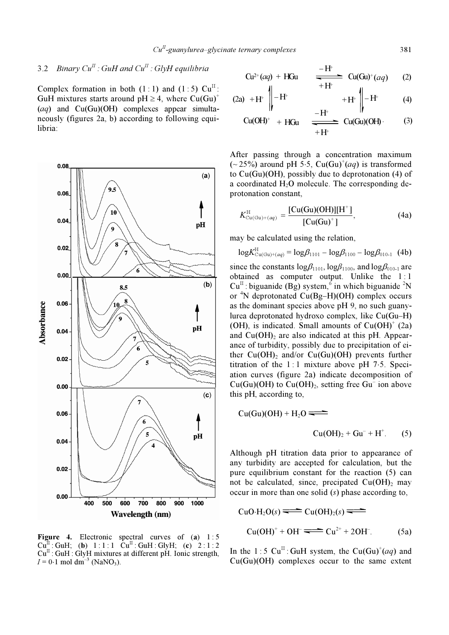## 3.2 Binary  $Cu^{II}$ : GuH and  $Cu^{II}$ : GlyH equilibria

Complex formation in both  $(1:1)$  and  $(1:5)$  Cu<sup>II</sup>: GuH mixtures starts around pH  $\geq$  4, where Cu(Gu)<sup>+</sup>  $(aq)$  and  $Cu(Gu)(OH)$  complexes appear simultaneously (figures 2a, b) according to following equilibria:



**Figure 4.** Electronic spectral curves of (a)  $1:5$ <br>Cu<sup>II</sup>: GuH; (b)  $1:1:1$  Cu<sup>II</sup>: GuH: GlyH; (c)  $2:1:2$ : GuH; (b)  $1:1:1$  Cu<sup>II</sup> : GuH : GlyH; (c)  $2:1:2$  $Cu^{II}$ : GuH: GlyH mixtures at different pH. Ionic strength,  $I = 0.1$  mol dm<sup>-3</sup> (NaNO<sub>3</sub>).

$$
Cu^{2+}(aq) + HGu \xrightarrow{--H^+} Cu(Gu)^+(aq) \qquad (2)
$$

$$
(2a) + H^+ \parallel -H^+ \qquad \qquad +H^+ \parallel -H^+ \qquad (4)
$$

$$
Cu(OH)^{+} + HGu \xrightarrow{\phantom{a}--H^{+}} Cu(Gu)(OH) \tag{3}
$$

After passing through a concentration maximum  $\sim$  25%) around pH 5⋅5, Cu(Gu)<sup>+</sup>(aq) is transformed to Cu(Gu)(OH), possibly due to deprotonation (4) of a coordinated  $H_2O$  molecule. The corresponding deprotonation constant,

$$
K_{\text{Cu(Gu)+(aq)}}^{\text{H}} = \frac{[Cu(Gu)(OH)][H^+]}{[Cu(Gu)^+]},
$$
 (4a)

may be calculated using the relation,

$$
\log K_{\text{Cu(Gu)+(aq)}}^{\text{H}} = \log \beta_{1101} - \log \beta_{1100} - \log \beta_{010-1} \text{ (4b)}
$$

since the constants  $log\beta_{1101}$ ,  $log\beta_{1100}$ , and  $log\beta_{010-1}$  are obtained as computer output. Unlike the 1:1  $Cu^{II}$ : biguanide (Bg) system,  $\sin$  which biguanide <sup>2</sup>N or <sup>4</sup> N deprotonated Cu(Bg–H)(OH) complex occurs as the dominant species above pH 9, no such guanylurea deprotonated hydroxo complex, like Cu(Gu–H) (OH), is indicated. Small amounts of  $Cu(OH)^{+}$  (2a) and  $Cu(OH)$ <sub>2</sub> are also indicated at this pH. Appearance of turbidity, possibly due to precipitation of either  $Cu(OH)$ <sub>2</sub> and/or  $Cu(Gu)(OH)$  prevents further titration of the 1 : 1 mixture above pH 7⋅5. Speciation curves (figure 2a) indicate decomposition of Cu(Gu)(OH) to  $Cu(OH)_2$ , setting free Gu<sup>-</sup> ion above this pH, according to,

$$
Cu(Gu)(OH) + H2O \nightharpoonup
$$
\n
$$
Cu(OH)2 + Gu- + H+. (5)
$$

Although pH titration data prior to appearance of any turbidity are accepted for calculation, but the pure equilibrium constant for the reaction (5) can not be calculated, since, precipated  $Cu(OH)<sub>2</sub>$  may occur in more than one solid (s) phase according to,

$$
CuO·H2O(s) \longrightarrow Cu(OH)2(s) \longrightarrow
$$
  
\n
$$
Cu(OH)+ + OH \longrightarrow Cu2+ + 2OH.
$$
 (5a)

In the 1:5 Cu<sup>II</sup>: GuH system, the Cu(Gu)<sup>+</sup>(aq) and Cu(Gu)(OH) complexes occur to the same extent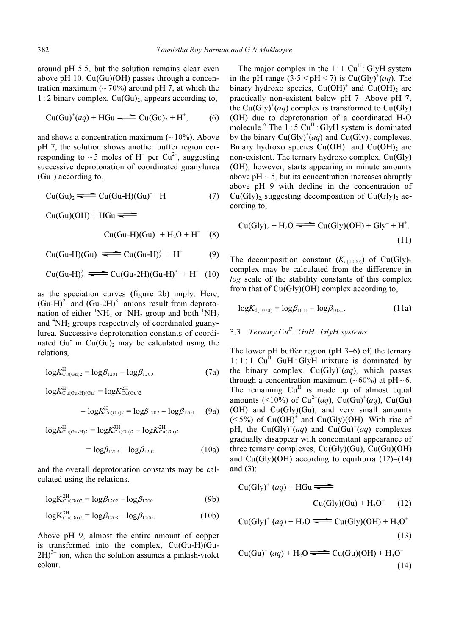around pH 5⋅5, but the solution remains clear even above pH 10. Cu(Gu)(OH) passes through a concentration maximum ( $\sim$  70%) around pH 7, at which the  $1:2$  binary complex,  $Cu(Gu)_{2}$ , appears according to,

$$
Cu(Gu)^{+}(aq) + HGu \implies Cu(Gu)_{2} + H^{+}, \qquad (6)
$$

and shows a concentration maximum  $($   $\sim$  10%). Above pH 7, the solution shows another buffer region corresponding to ~3 moles of H<sup>+</sup> per Cu<sup>2+</sup>, suggesting successive deprotonation of coordinated guanylurea (Gu– ) according to,

$$
Cu(Gu)_2 \longrightarrow Cu(Gu-H)(Gu)^{-} + H^+ \tag{7}
$$

 $Cu(Gu)(OH) + HGu \rightleftharpoons$ 

$$
\text{Cu(Gu-H)(Gu)}^- + \text{H}_2\text{O} + \text{H}^+ \quad (8)
$$

$$
Cu(Gu-H)(Gu) = Cu(Gu-H)22- + H+
$$
 (9)

Cu(Gu-H)<sup>2</sup><sub>2</sub> 
$$
\longrightarrow
$$
 Cu(Gu-2H)(Gu-H)<sup>3-</sup> + H<sup>+</sup> (10)

as the speciation curves (figure 2b) imply. Here,  $(Gu-H)^{2}$  and  $(Gu-2H)^{3}$  anions result from deprotomation of either  ${}^{1}NH_{2}$  or  ${}^{4}NH_{2}$  group and both  ${}^{1}NH_{2}$ and  ${}^{4}NH_{2}$  groups respectively of coordinated guanylurea. Successive deprotonation constants of coordinated Gu in  $Cu(Gu)$ <sub>2</sub> may be calculated using the relations,

$$
log K_{Cu(Gu)2}^{H} = log \beta_{1201} - log \beta_{1200}
$$
 (7a)

$$
logK_{Cu(Gu-H)(Gu)}^{H} = logK_{Cu(Gu)2}^{2H}
$$

$$
- logK_{Cu(Gu)2}^{H} = log\beta_{1202} - log\beta_{1201}
$$
(9a)

$$
logK_{Cu(Gu-H)2}^{H} = logK_{Cu(Gu)2}^{3H} - logK_{Cu(Gu)2}^{2H}
$$

$$
= log\beta_{1203} - log\beta_{1202}
$$
(10a)

and the overall deprotonation constants may be cal-

culated using the relations,

$$
log K_{Cu(Gu)2}^{2H} = log \beta_{1202} - log \beta_{1200}
$$
 (9b)

$$
log K_{Cu(Gu)2}^{3H} = log \beta_{1203} - log \beta_{1200}.
$$
 (10b)

Above pH 9, almost the entire amount of copper is transformed into the complex, Cu(Gu-H)(Gu- $2H$ <sup>3–</sup> ion, when the solution assumes a pinkish-violet colour.

The major complex in the  $1:1 \text{ Cu}^{\text{II}}$ : GlyH system in the pH range  $(3.5 < pH < 7)$  is Cu(Gly)<sup>+</sup>(aq). The binary hydroxo species,  $Cu(OH)^+$  and  $Cu(OH)_2$  are practically non-existent below pH 7. Above pH 7, the Cu(Gly)<sup>+</sup>(aq) complex is transformed to Cu(Gly) (OH) due to deprotonation of a coordinated  $H_2O$ molecule.  $6$  The 1:5 Cu<sup>II</sup>: GlyH system is dominated by the binary  $Cu(Gly)^+(aq)$  and  $Cu(Gly)_2$  complexes. Binary hydroxo species  $Cu(OH)^+$  and  $Cu(OH)_2$  are non-existent. The ternary hydroxo complex, Cu(Gly) (OH), however, starts appearing in minute amounts above  $pH \sim 5$ , but its concentration increases abruptly above pH 9 with decline in the concentration of  $Cu(Gly)$  suggesting decomposition of  $Cu(Gly)$  according to,

$$
Cu(Gly)2 + H2O \longrightarrow Cu(Gly)(OH) + Gly- + H+.
$$
\n(11)

The decomposition constant  $(K_{d(1020)})$  of Cu(Gly)<sub>2</sub> complex may be calculated from the difference in log scale of the stability constants of this complex from that of Cu(Gly)(OH) complex according to,

$$
log K_{d(1020)} = log \beta_{1011} - log \beta_{1020}.
$$
 (11a)

## 3.3 Ternary  $Cu^{II}$  : GuH : GlyH systems

The lower pH buffer region (pH 3–6) of, the ternary  $1:1:1$  Cu<sup>II</sup>: GuH: GlyH mixture is dominated by the binary complex,  $Cu(Gly)^+(aq)$ , which passes through a concentration maximum ( $\sim 60\%$ ) at pH $\sim 6$ . The remaining  $Cu<sup>II</sup>$  is made up of almost equal amounts (<10%) of  $Cu^{2+}(aq)$ ,  $Cu(Gu)^+(aq)$ ,  $Cu(Gu)$ (OH) and Cu(Gly)(Gu), and very small amounts  $(<5\%)$  of Cu(OH)<sup>+</sup> and Cu(Gly)(OH). With rise of pH, the Cu(Gly)<sup>+</sup>(aq) and Cu(Gu)<sup>+</sup>(aq) complexes gradually disappear with concomitant appearance of three ternary complexes, Cu(Gly)(Gu), Cu(Gu)(OH) and  $Cu(Giv)(OH)$  according to equilibria  $(12)–(14)$ and (3):

$$
Cu(Gly)+ (aq) + HGu \n\n
$$
Cu(Gly)(Gu) + H_3O+ (12)
$$
\n
$$
Cu(Gly)+ (aq) + H_2O \n\n
$$
Cu(Gly)(OH) + H_3O+ (13)
$$
$$
$$

$$
Cu(Gu)^{+}(aq) + H_2O \longrightarrow Cu(Gu)(OH) + H_3O^{+}
$$
\n(14)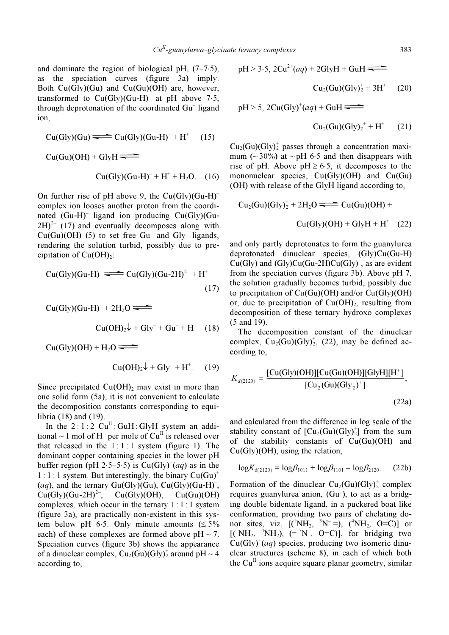and dominate the region of biological pH,  $(7-7.5)$ , as the speciation curves (figure 3a) imply. Both Cu(Gly)(Gu) and Cu(Gu)(OH) are, however, transformed to  $Cu(Gly)(Gu-H)^{-}$  at pH above 7⋅5, through deprotonation of the coordinated Gu<sup>-</sup> ligand ion,

$$
Cu(Gly)(Gu) \equiv Cu(Gly)(Gu-H)^{-} + H^{+} \quad (15)
$$

$$
Cu(Gu)(OH) + GlyH \longrightarrow
$$
  
\n
$$
Cu(Gly)(Gu-H)^{-} + H^{+} + H_{2}O. \quad (16)
$$

On further rise of pH above 9, the  $Cu(Gly)(Gu-H)^{-}$ complex ion looses another proton from the coordinated (Gu-H)– ligand ion producing Cu(Gly)(Gu- $2H$ <sup>2–</sup> (17) and eventually decomposes along with  $Cu(Gu)(OH)$  (5) to set free  $Gu^-$  and  $Gly^-$  ligands, rendering the solution turbid, possibly due to precipitation of  $Cu(OH)<sub>2</sub>$ :

$$
Cu(Gly)(Gu-H)^{-} \longrightarrow Cu(Gly)(Gu-2H)^{2-} + H^{+}
$$
\n(17)

$$
Cu(Gly)(Gu-H)- + 2H2O \longrightarrow
$$
  
\n
$$
Cu(OH)2 + Gly- + Gu- + H+ (18)
$$

 $Cu(Gly)(OH) + H<sub>2</sub>O \rightleftharpoons$ 

$$
\text{Cu(OH)}_2\downarrow + \text{Gly}^- + \text{H}^+.\qquad(19)
$$

Since precipitated  $Cu(OH)$ <sub>2</sub> may exist in more than one solid form (5a), it is not convenient to calculate the decomposition constants corresponding to equilibria (18) and (19).

In the  $2:1:2$   $Cu^{II}$ : GuH: GlyH system an additional  $\sim$  1 mol of H<sup>+</sup> per mole of Cu<sup>II</sup> is released over that released in the  $1:1:1$  system (figure 1). The dominant copper containing species in the lower pH buffer region (pH 2⋅5–5⋅5) is  $Cu(Gly)<sup>+</sup>(aq)$  as in the  $1:1:1$  system. But interestingly, the binary  $Cu(Gu)^+$ (aq), and the ternary Gu(Gly)(Gu), Cu(Gly)(Gu-H)<sup>-</sup>,  $Cu(Gly)(Gu-2H)^{2}$ ,  $Cu(Gly)(OH)$ ,  $Cu(Gu)(OH)$ complexes, which occur in the ternary  $1:1:1$  system (figure 3a), are practically non-existent in this system below pH 6⋅5. Only minute amounts  $(≤ 5\%)$ each) of these complexes are formed above  $pH \sim 7$ . Speciation curves (figure 3b) shows the appearance of a dinuclear complex,  $Cu_2(Gu)(Gly)_2^+$  around pH ~ 4 according to,

$$
pH > 3.5, 2Cu^{2+}(aq) + 2GlyH + GuH \overbrace{\text{Cu}_2(Gu)(Gly)_2^+ + 3H^+}^{\text{...}} \tag{20}
$$

 $pH > 5$ ,  $2Cu(Gly)^+(aq) + GuH$ 

$$
\mathrm{Cu}_2\mathrm{(Gu)}(\mathrm{Gly})_2^+ + \mathrm{H}^+ \qquad (21)
$$

 $Cu<sub>2</sub>(Gu)(Gly)<sub>2</sub><sup>+</sup>$  passes through a concentration maximum ( $\sim$  30%) at  $\sim$  pH 6⋅5 and then disappears with rise of pH. Above pH  $\geq 6.5$ , it decomposes to the mononuclear species,  $Cu(Gly)(OH)$  and  $Cu(Gu)$ (OH) with release of the GlyH ligand according to,

$$
Cu2(Gu)(Gly)2+ + 2H2O \nightharpoonup Cu(Gu)(OH) + Cu(Gly)(OH) + GlyH + H+ (22)
$$

and only partly deprotonates to form the guanylurea deprotonated dinuclear species, (Gly)Cu(Gu-H)  $Cu(Gly)$  and  $(Gly)Cu(Gu-2H)Cu(Gly)$ , as are evident from the speciation curves (figure 3b). Above pH 7, the solution gradually becomes turbid, possibly due to precipitation of  $Cu(Gu)(OH)$  and/or  $Cu(Gly)(OH)$ or, due to precipitation of  $Cu(OH)<sub>2</sub>$ , resulting from decomposition of these ternary hydroxo complexes (5 and 19).

 The decomposition constant of the dinuclear complex,  $Cu_2(Gu)(Gly)_2^+$ , (22), may be defined according to,

$$
K_{d(2120)} = \frac{[Cu(Gly)(OH)][Cu(Gu)(OH)][GlyH][H^+]}{[Cu_2(Gu)(Gly_2)^+]},
$$
\n(22a)

and calculated from the difference in log scale of the stability constant of  $[Cu_2(Gu)(Gly)_2^+]$  from the sum of the stability constants of Cu(Gu)(OH) and Cu(Gly)(OH), using the relation,

$$
log K_{d(2120)} = log \beta_{1011} + log \beta_{1101} - log \beta_{2120}. (22b)
$$

Formation of the dinuclear  $Cu_2(Gu)(Gly)_2^+$  complex requires guanylurea anion,  $(Gu<sup>-</sup>)$ , to act as a bridging double bidentate ligand, in a puckered boat like conformation, providing two pairs of chelating donor sites, viz.  $[({}^{1}NH_{2}, {}^{3}N^{-} =), ({}^{4}NH_{2}, O = C)]$  or  $[(^1NH_2, ^4NH_2), (=^3N^-, ^0=C)],$  for bridging two  $Cu(Gly)<sup>+</sup>(aq)$  species, producing two isomeric dinuclear structures (scheme 8), in each of which both the  $Cu<sup>H</sup>$  ions acquire square planar geometry, similar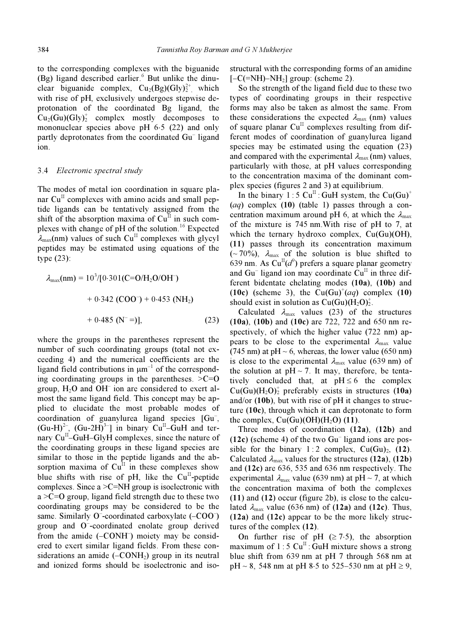to the corresponding complexes with the biguanide (Bg) ligand described earlier.<sup>6</sup> But unlike the dinuclear biguanide complex,  $Cu_2(Bg)(Gly)_2^{2^+}$  which with rise of pH, exclusively undergoes stepwise deprotonation of the coordinated Bg ligand, the  $Cu<sub>2</sub>(Gu)(Gly)<sub>2</sub><sup>+</sup>$  complex mostly decomposes to mononuclear species above pH 6⋅5 (22) and only partly deprotonates from the coordinated Gu<sup>-</sup> ligand ion.

#### 3.4 Electronic spectral study

The modes of metal ion coordination in square planar  $Cu<sup>H</sup>$  complexes with amino acids and small peptide ligands can be tentatively assigned from the shift of the absorption maxima of  $Cu^{II}$  in such complexes with change of pH of the solution.<sup>16</sup> Expected  $\lambda_{\text{max}}$ (nm) values of such Cu<sup>II</sup> complexes with glycyl peptides may be estimated using equations of the type (23):

$$
\lambda_{\text{max}}(\text{nm}) = 10^3/[0.301(\text{C}=0/\text{H}_2\text{O}/\text{OH}^-)
$$
  
+ 0.342 (\text{COO}^-) + 0.453 (\text{NH}\_2)  
+ 0.485 (\text{N}^- =)], (23)

where the groups in the parentheses represent the number of such coordinating groups (total not exceeding 4) and the numerical coefficients are the ligand field contributions in  $\mu$ m<sup>-1</sup> of the corresponding coordinating groups in the parentheses.  $>C=0$ group,  $H_2O$  and  $OH^-$  ion are considered to exert almost the same ligand field. This concept may be applied to elucidate the most probable modes of coordination of guanylurea ligand species [Gu– ,  $(Gu-H)^2$ ,  $(Gu-2H)^3$ ] in binary  $Cu^{\text{T}}-GuH$  and ternary  $Cu<sup>H</sup>-GuH-GlyH$  complexes, since the nature of the coordinating groups in these ligand species are similar to those in the peptide ligands and the absorption maxima of  $Cu<sup>H</sup>$  in these complexes show blue shifts with rise of pH, like the  $Cu<sup>H</sup>$ -peptide complexes. Since a  $>C=NH$  group is isoelectronic with  $a > C=O$  group, ligand field strength due to these two coordinating groups may be considered to be the same. Similarly  $O^{-}$ -coordinated carboxylate  $(-COO^{-})$ group and O– -coordinated enolate group derived from the amide (-CONH<sup>-</sup>) moiety may be considered to exert similar ligand fields. From these considerations an amide  $(-CONH<sub>2</sub>)$  group in its neutral and ionized forms should be isoelectronic and iso-

structural with the corresponding forms of an amidine  $[-C(=\text{NH})-\text{NH}_2]$  group: (scheme 2).

 So the strength of the ligand field due to these two types of coordinating groups in their respective forms may also be taken as almost the same. From these considerations the expected  $\lambda_{\text{max}}$  (nm) values of square planar  $Cu<sup>H</sup>$  complexes resulting from different modes of coordination of guanylurea ligand species may be estimated using the equation (23) and compared with the experimental  $\lambda_{\text{max}}$  (nm) values, particularly with those, at pH values corresponding to the concentration maxima of the dominant complex species (figures 2 and 3) at equilibrium.

In the binary 1 : 5 Cu<sup>II</sup> : GuH system, the Cu(Gu)<sup>+</sup>  $(aq)$  complex  $(10)$  (table 1) passes through a concentration maximum around pH 6, at which the  $\lambda_{\text{max}}$ of the mixture is 745 nm.With rise of pH to 7, at which the ternary hydroxo complex, Cu(Gu)(OH), (11) passes through its concentration maximum  $(-70\%)$ ,  $\lambda_{\text{max}}$  of the solution is blue shifted to 639 nm. As  $Cu^{II}(d^{\circ})$  prefers a square planar geometry and Gu<sup>–</sup> ligand ion may coordinate  $\tilde{C}u^{II}$  in three different bidentate chelating modes (10a), (10b) and (10c) (scheme 3), the  $Cu(Gu)^+(aq)$  complex (10) should exist in solution as  $Cu(Gu)(H<sub>2</sub>O)<sub>2</sub>$ .

Calculated  $\lambda_{\text{max}}$  values (23) of the structures (10a), (10b) and (10c) are 722, 722 and 650 nm respectively, of which the higher value (722 nm) appears to be close to the experimental  $\lambda_{\text{max}}$  value (745 nm) at pH  $\sim$  6, whereas, the lower value (650 nm) is close to the experimental  $\lambda_{\text{max}}$  value (639 nm) of the solution at  $pH \sim 7$ . It may, therefore, be tentatively concluded that, at  $pH \leq 6$  the complex  $Cu(Gu)(H<sub>2</sub>O)<sub>2</sub>$  preferably exists in structures (10a) and/or (10b), but with rise of pH it changes to structure (10c), through which it can deprotonate to form the complex,  $Cu(Gu)(OH)(H<sub>2</sub>O)(11)$ .

 Three modes of coordination (12a), (12b) and (12c) (scheme 4) of the two Gu– ligand ions are possible for the binary  $1:2$  complex,  $Cu(Gu)<sub>2</sub>$ , (12). Calculated  $\lambda_{\text{max}}$  values for the structures (12a), (12b) and (12c) are 636, 535 and 636 nm respectively. The experimental  $\lambda_{\text{max}}$  value (639 nm) at pH ~ 7, at which the concentration maxima of both the complexes (11) and (12) occur (figure 2b), is close to the calculated  $\lambda_{\text{max}}$  value (636 nm) of (12a) and (12c). Thus,  $(12a)$  and  $(12c)$  appear to be the more likely structures of the complex (12).

On further rise of pH  $(≥ 7.5)$ , the absorption maximum of  $1:5 \text{ Cu}^{\text{II}}$ : GuH mixture shows a strong blue shift from 639 nm at pH 7 through 568 nm at pH ~ 8, 548 nm at pH 8⋅5 to 525–530 nm at pH ≥ 9,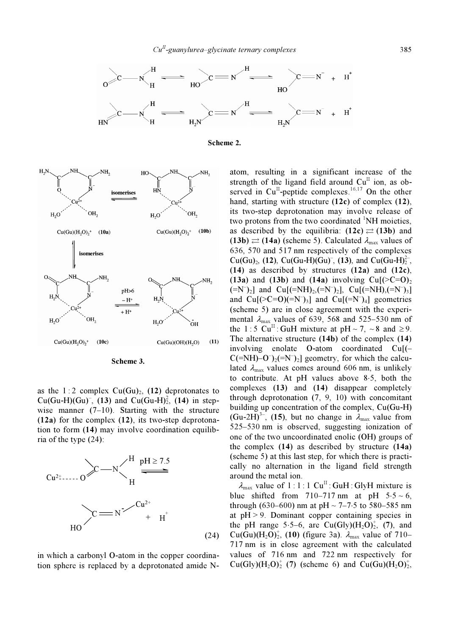





Scheme 3.

as the 1:2 complex  $Cu(Gu)_2$ , (12) deprotonates to  $Cu(Gu-H)(Gu)$ , (13) and  $Cu(Gu-H)<sub>2</sub>$ , (14) in stepwise manner  $(7-10)$ . Starting with the structure (12a) for the complex (12), its two-step deprotonation to form (14) may involve coordination equilibria of the type (24):

![](_page_8_Figure_6.jpeg)

in which a carbonyl O-atom in the copper coordination sphere is replaced by a deprotonated amide N-

atom, resulting in a significant increase of the strength of the ligand field around  $Cu<sup>H</sup>$  ion, as observed in Cu<sup>II</sup>-peptide complexes.<sup>16,17</sup> On the other hand, starting with structure (12c) of complex (12), its two-step deprotonation may involve release of two protons from the two coordinated  ${}^{1}$ NH moieties, as described by the equilibria:  $(12c) \rightleftarrows (13b)$  and  $(13b) \rightleftarrows (14a)$  (scheme 5). Calculated  $\lambda_{\text{max}}$  values of 636, 570 and 517 nm respectively of the complexes Cu(Gu)<sub>2</sub>, (12), Cu(Gu-H)(Gu)<sup>-</sup>, (13), and Cu(Gu-H)<sup>2-</sup><sub>2</sub>, (14) as described by structures  $(12a)$  and  $(12c)$ , (13a) and (13b) and (14a) involving  $Cu[(\geq C=0)_2]$  $(-N^{-})_{2}$ ] and  $Cu[(-NH)_{2},(-N^{-})_{2}]$ ,  $Cu[(-NH)_{2},(-N^{-})_{3}]$ and  $Cu[(>C=O)(=N^-)_3]$  and  $Cu[ (=N^-)_4]$  geometries (scheme 5) are in close agreement with the experimental  $\lambda_{\text{max}}$  values of 639, 568 and 525–530 nm of the 1 : 5 Cu<sup>II</sup> : GuH mixture at pH ~ 7, ~8 and  $\geq$  9. The alternative structure (14b) of the complex (14) involving enolate O-atom coordinated Cu[(–  $C(=\text{NH})-O^{-}(\text{e}^{-}\text{N})$  geometry, for which the calculated  $\lambda_{\text{max}}$  values comes around 606 nm, is unlikely to contribute. At pH values above 8⋅5, both the complexes (13) and (14) disappear completely through deprotonation (7, 9, 10) with concomitant building up concentration of the complex, Cu(Gu-H) (Gu-2H)<sup>3–</sup>, (15), but no change in  $\lambda_{\text{max}}$  value from 525–530 nm is observed, suggesting ionization of one of the two uncoordinated enolic (OH) groups of the complex  $(14)$  as described by structure  $(14a)$ (scheme 5) at this last step, for which there is practically no alternation in the ligand field strength around the metal ion.

 $\lambda_{\text{max}}$  value of 1:1:1 Cu<sup>II</sup>: GuH: GlyH mixture is blue shifted from 710–717 nm at pH  $5.5 \sim 6$ , through (630–600) nm at pH ~ 7–7⋅5 to 580–585 nm at  $pH > 9$ . Dominant copper containing species in the pH range 5⋅5–6, are  $Cu(Gly)(H<sub>2</sub>O)<sub>2</sub>$ , (7), and  $Cu(Gu)(H<sub>2</sub>O)<sub>2</sub>$ , (10) (figure 3a).  $\lambda_{\text{max}}$  value of 710– 717 nm is in close agreement with the calculated values of 716 nm and 722 nm respectively for  $Cu(Gly)(H<sub>2</sub>O)<sub>2</sub><sup>+</sup>$  (7) (scheme 6) and  $Cu(Gu)(H<sub>2</sub>O)<sub>2</sub><sup>+</sup>$ ,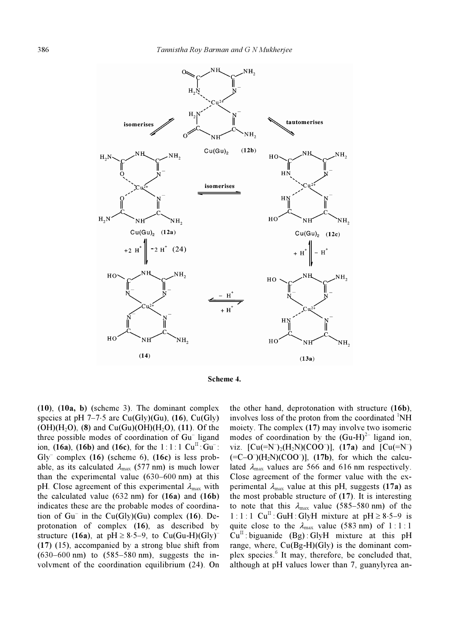![](_page_9_Figure_1.jpeg)

![](_page_9_Figure_2.jpeg)

(10), (10a, b) (scheme 3). The dominant complex species at pH 7–7⋅5 are Cu(Gly)(Gu), (16), Cu(Gly)  $(OH)(H<sub>2</sub>O)$ , (8) and  $Cu(Gu)(OH)(H<sub>2</sub>O)$ , (11). Of the three possible modes of coordination of Gu– ligand ion, (16a), (16b) and (16c), for the  $1:1:1 \text{ Cu}^{\text{II}}: \text{Gu}^{-}$ :  $Gly^{-}$  complex (16) (scheme 6), (16c) is less probable, as its calculated  $\lambda_{\text{max}}$  (577 nm) is much lower than the experimental value (630–600 nm) at this pH. Close agreement of this experimental  $\lambda_{\text{max}}$  with the calculated value  $(632 \text{ nm})$  for  $(16a)$  and  $(16b)$ indicates these are the probable modes of coordination of  $Gu^-$  in the  $Cu(Gly)(Gu)$  complex (16). Deprotonation of complex (16), as described by structure (16a), at pH  $\geq 8.5-9$ , to Cu(Gu-H)(Gly)<sup>-</sup> (17) (15), accompanied by a strong blue shift from (630–600 nm) to (585–580 nm), suggests the involvment of the coordination equilibrium (24). On

the other hand, deprotonation with structure (16b), involves loss of the proton from the coordinated  ${}^{1}NH$ moiety. The complex (17) may involve two isomeric modes of coordination by the  $(Gu-H)^{2}$  ligand ion, viz.  $[Cu(=N^-)_2(H_2N)(COO^-)]$ ,  $(17a)$  and  $[Cu(=N^-)$  $(=C-O^{-})(H_2N)(COO^{-})$ ],  $(17b)$ , for which the calculated  $\lambda_{\text{max}}$  values are 566 and 616 nm respectively. Close agreement of the former value with the experimental  $\lambda_{\text{max}}$  value at this pH, suggests (17a) as the most probable structure of (17). It is interesting to note that this  $\lambda_{\text{max}}$  value (585–580 nm) of the  $1:1:1$  Cu<sup>II</sup>: GuH: GlyH mixture at pH ≥ 8⋅5–9 is quite close to the  $\lambda_{\text{max}}$  value (583 nm) of 1:1:1  $Cu<sup>H</sup>$ : biguanide (Bg): GlyH mixture at this pH range, where,  $Cu(Bg-H)(Gly)$  is the dominant complex species.<sup>6</sup> It may, therefore, be concluded that, although at pH values lower than 7, guanylyrea an-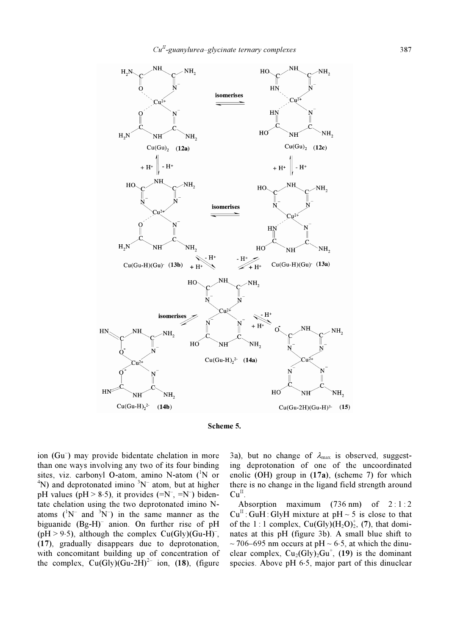![](_page_10_Figure_1.jpeg)

![](_page_10_Figure_2.jpeg)

ion (Gu– ) may provide bidentate chelation in more than one ways involving any two of its four binding sites, viz. carbonyl O-atom, amino N-atom (<sup>1</sup>N or  ${}^{4}N$ ) and deprotonated imino  ${}^{3}N^{-}$  atom, but at higher pH values (pH > 8.5), it provides  $(=N^{-}, =N^{-})$  bidentate chelation using the two deprotonated imino Natoms  $({}^{1}N^{-}$  and  ${}^{3}N^{-})$  in the same manner as the biguanide (Bg-H)– anion. On further rise of pH  $(pH > 9.5)$ , although the complex Cu(Gly)(Gu-H)<sup>-</sup>, (17), gradually disappears due to deprotonation, with concomitant building up of concentration of the complex,  $Cu(Gly)(Gu-2H)^{2-}$  ion, (18), (figure

3a), but no change of  $\lambda_{\text{max}}$  is observed, suggesting deprotonation of one of the uncoordinated enolic (OH) group in (17a), (scheme 7) for which there is no change in the ligand field strength around  $Cu^{II}$ .

Absorption maximum  $(736 \text{ nm})$  of  $2:1:2$  $Cu^{II}$ : GuH: GlyH mixture at pH ~ 5 is close to that of the 1:1 complex,  $Cu(Gly)(H<sub>2</sub>O)<sub>2</sub><sup>+</sup>, (7),$  that dominates at this pH (figure 3b). A small blue shift to  $\sim$  706–695 nm occurs at pH  $\sim$  6⋅5, at which the dinuclear complex,  $Cu_2(Gly)_2Gu^+$ , (19) is the dominant species. Above pH 6⋅5, major part of this dinuclear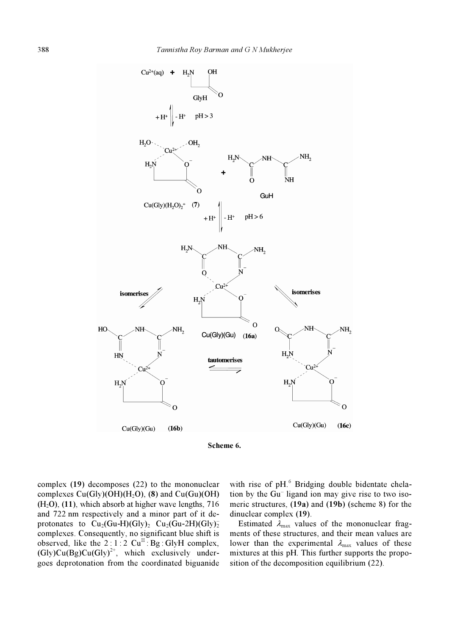![](_page_11_Figure_1.jpeg)

![](_page_11_Figure_2.jpeg)

complex (19) decomposes (22) to the mononuclear complexes  $Cu(Gly)(OH)(H<sub>2</sub>O)$ , (8) and  $Cu(Gu)(OH)$  $(H<sub>2</sub>O)$ , (11), which absorb at higher wave lengths, 716 and 722 nm respectively and a minor part of it deprotonates to  $\text{Cu}_2(\text{Gu-H})(\text{Gly})_2$   $\text{Cu}_2(\text{Gu-2H})(\text{Gly})_2$ complexes. Consequently, no significant blue shift is observed, like the  $2:1:2$  Cu<sup>II</sup>: Bg: GlyH complex,  $(Gly)Cu(Bg)Cu(Gly)<sup>2+</sup>$ , which exclusively undergoes deprotonation from the coordinated biguanide

with rise of pH.<sup>6</sup> Bridging double bidentate chelation by the  $\overrightarrow{Gu}$  ligand ion may give rise to two isomeric structures, (19a) and (19b) (scheme 8) for the dinuclear complex (19).

Estimated  $\lambda_{\text{max}}$  values of the mononuclear fragments of these structures, and their mean values are lower than the experimental  $\lambda_{\text{max}}$  values of these mixtures at this pH. This further supports the proposition of the decomposition equilibrium (22).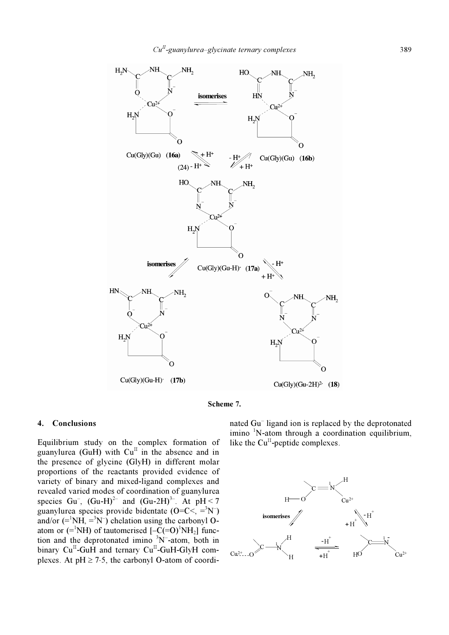![](_page_12_Figure_1.jpeg)

![](_page_12_Figure_2.jpeg)

#### 4. Conclusions

Equilibrium study on the complex formation of guanylurea (GuH) with  $Cu^{II}$  in the absence and in the presence of glycine (GlyH) in different molar proportions of the reactants provided evidence of variety of binary and mixed-ligand complexes and revealed varied modes of coordination of guanylurea species Gu<sup>-</sup>,  $(Gu-H)^{2-}$  and  $(Gu-2H)^{3-}$ . At  $pH < 7$ guanylurea species provide bidentate  $(O=C<sub>2</sub> = <sup>3</sup>N<sub>1</sub>)$ and/or  $(=^1NH, =^3N^-)$  chelation using the carbonyl Oatom or  $(=^1NH)$  of tautomerised  $[-\tilde{C}(-O)^1NH_2]$  function and the deprotonated imino  $3N$ -atom, both in binary  $Cu<sup>H</sup>-GuH$  and ternary  $Cu<sup>H</sup>-GuH-GlyH$  complexes. At  $pH \ge 7.5$ , the carbonyl O-atom of coordi-

nated Gu– ligand ion is replaced by the deprotonated imino <sup>1</sup> N-atom through a coordination equilibrium, like the  $Cu<sup>II</sup>$ -peptide complexes.

![](_page_12_Figure_6.jpeg)